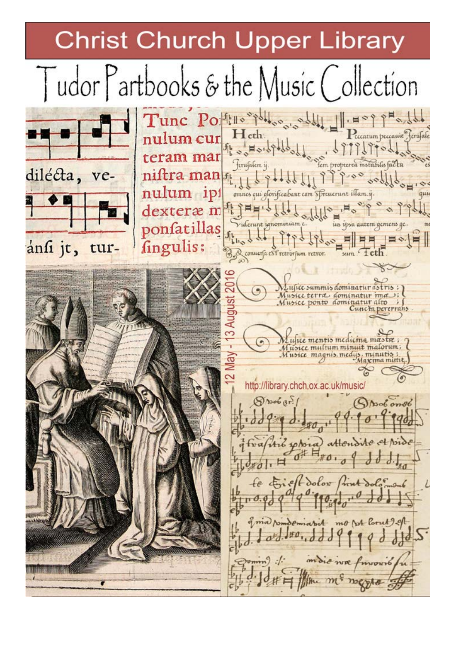**Christ Church Upper Library** 

Tudor Partbooks & the Music Collection Tunc Polling Polling Sold 1 nulum cur eccatum peccanit ferufale The Horopolded teram mar ferufalem i dilécta, niftra man venulum ipi onnes qui glorificabant cam Spreuerunt illam.ij. dexteræ m ponfatillas Viderunt ignominium ius ipsa autem gemens ge fingulis: ansi jt, tur-Reconners est retrorsum retror ufice summis dominatur ce terra dominatur usice ponto dominatur alto unc'h verer 3 Au whee mentis medicing mastre; c multum minuit malorum; Musice magnis, medis http://library.chch.ox.ac.uk/music/ Shoot onot  $eff$  dolow mo st loout 2 of the mi megho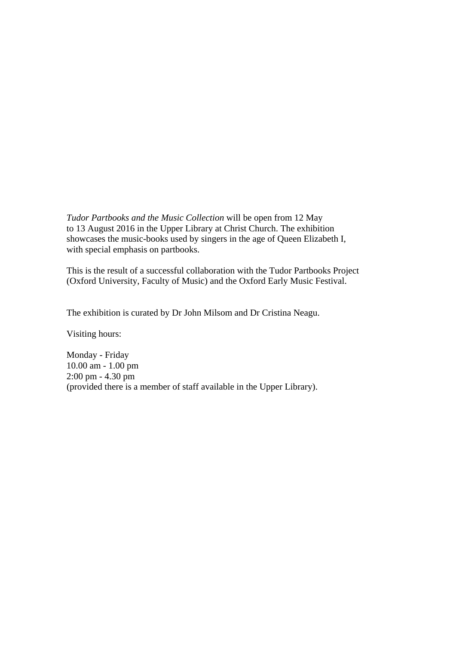*Tudor Partbooks and the Music Collection* will be open from 12 May to 13 August 2016 in the Upper Library at Christ Church. The exhibition showcases the music-books used by singers in the age of Queen Elizabeth I, with special emphasis on partbooks.

 This is the result of a successful collaboration with the Tudor Partbooks Project (Oxford University, Faculty of Music) and the Oxford Early Music Festival.

The exhibition is curated by Dr John Milsom and Dr Cristina Neagu.

Visiting hours:

 Monday - Friday 10.00 am - 1.00 pm 2:00 pm - 4.30 pm (provided there is a member of staff available in the Upper Library).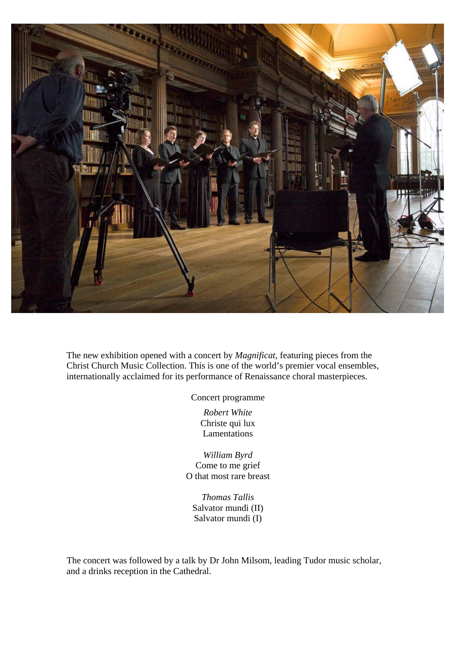

 The new exhibition opened with a concert by *Magnificat*, featuring pieces from the Christ Church Music Collection. This is one of the world's premier vocal ensembles, internationally acclaimed for its performance of Renaissance choral masterpieces.

Concert programme

*Robert White*  Christe qui lux Lamentations

*William Byrd*  Come to me grief O that most rare breast

*Thomas Tallis*  Salvator mundi (II) Salvator mundi (I)

 The concert was followed by a talk by Dr John Milsom, leading Tudor music scholar, and a drinks reception in the Cathedral.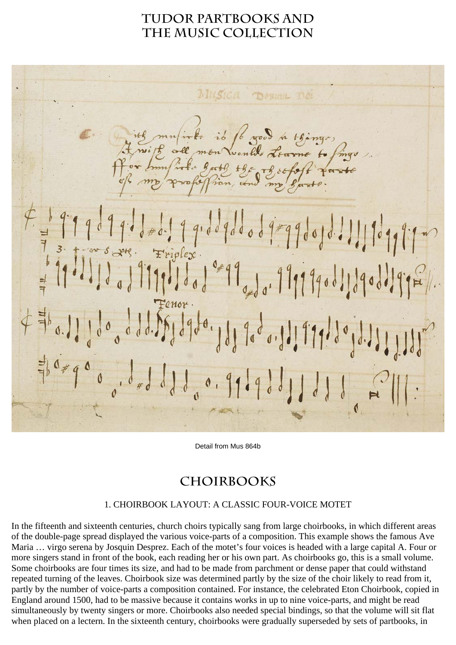## **Tudor partbooks and the music collection**

Dought no ib 16 good in things, the organized 17990010.111909999  $9.00900$ Jo 1 0 4 9 9  $\theta_{\rm t}$ 0.1.1.99.10  $190$ 0.9

Detail from Mus 864b

## **choirbooks**

## 1. CHOIRBOOK LAYOUT: A CLASSIC FOUR-VOICE MOTET

In the fifteenth and sixteenth centuries, church choirs typically sang from large choirbooks, in which different areas of the double-page spread displayed the various voice-parts of a composition. This example shows the famous Ave Maria … virgo serena by Josquin Desprez. Each of the motet's four voices is headed with a large capital A. Four or more singers stand in front of the book, each reading her or his own part. As choirbooks go, this is a small volume. Some choirbooks are four times its size, and had to be made from parchment or dense paper that could withstand repeated turning of the leaves. Choirbook size was determined partly by the size of the choir likely to read from it, partly by the number of voice-parts a composition contained. For instance, the celebrated Eton Choirbook, copied in England around 1500, had to be massive because it contains works in up to nine voice-parts, and might be read simultaneously by twenty singers or more. Choirbooks also needed special bindings, so that the volume will sit flat when placed on a lectern. In the sixteenth century, choirbooks were gradually superseded by sets of partbooks, in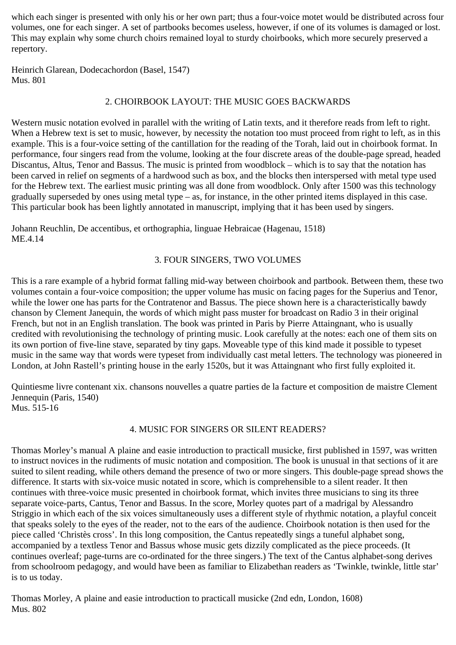which each singer is presented with only his or her own part; thus a four-voice motet would be distributed across four volumes, one for each singer. A set of partbooks becomes useless, however, if one of its volumes is damaged or lost. This may explain why some church choirs remained loyal to sturdy choirbooks, which more securely preserved a repertory.

Heinrich Glarean, Dodecachordon (Basel, 1547) Mus. 801

## 2. CHOIRBOOK LAYOUT: THE MUSIC GOES BACKWARDS

Western music notation evolved in parallel with the writing of Latin texts, and it therefore reads from left to right. When a Hebrew text is set to music, however, by necessity the notation too must proceed from right to left, as in this example. This is a four-voice setting of the cantillation for the reading of the Torah, laid out in choirbook format. In performance, four singers read from the volume, looking at the four discrete areas of the double-page spread, headed Discantus, Altus, Tenor and Bassus. The music is printed from woodblock – which is to say that the notation has been carved in relief on segments of a hardwood such as box, and the blocks then interspersed with metal type used for the Hebrew text. The earliest music printing was all done from woodblock. Only after 1500 was this technology gradually superseded by ones using metal type – as, for instance, in the other printed items displayed in this case. This particular book has been lightly annotated in manuscript, implying that it has been used by singers.

Johann Reuchlin, De accentibus, et orthographia, linguae Hebraicae (Hagenau, 1518) ME.4.14

### 3. FOUR SINGERS, TWO VOLUMES

This is a rare example of a hybrid format falling mid-way between choirbook and partbook. Between them, these two volumes contain a four-voice composition; the upper volume has music on facing pages for the Superius and Tenor, while the lower one has parts for the Contratenor and Bassus. The piece shown here is a characteristically bawdy chanson by Clement Janequin, the words of which might pass muster for broadcast on Radio 3 in their original French, but not in an English translation. The book was printed in Paris by Pierre Attaingnant, who is usually credited with revolutionising the technology of printing music. Look carefully at the notes: each one of them sits on its own portion of five-line stave, separated by tiny gaps. Moveable type of this kind made it possible to typeset music in the same way that words were typeset from individually cast metal letters. The technology was pioneered in London, at John Rastell's printing house in the early 1520s, but it was Attaingnant who first fully exploited it.

Quintiesme livre contenant xix. chansons nouvelles a quatre parties de la facture et composition de maistre Clement Jennequin (Paris, 1540) Mus. 515-16

#### 4. MUSIC FOR SINGERS OR SILENT READERS?

Thomas Morley's manual A plaine and easie introduction to practicall musicke, first published in 1597, was written to instruct novices in the rudiments of music notation and composition. The book is unusual in that sections of it are suited to silent reading, while others demand the presence of two or more singers. This double-page spread shows the difference. It starts with six-voice music notated in score, which is comprehensible to a silent reader. It then continues with three-voice music presented in choirbook format, which invites three musicians to sing its three separate voice-parts, Cantus, Tenor and Bassus. In the score, Morley quotes part of a madrigal by Alessandro Striggio in which each of the six voices simultaneously uses a different style of rhythmic notation, a playful conceit that speaks solely to the eyes of the reader, not to the ears of the audience. Choirbook notation is then used for the piece called 'Christès cross'. In this long composition, the Cantus repeatedly sings a tuneful alphabet song, accompanied by a textless Tenor and Bassus whose music gets dizzily complicated as the piece proceeds. (It continues overleaf; page-turns are co-ordinated for the three singers.) The text of the Cantus alphabet-song derives from schoolroom pedagogy, and would have been as familiar to Elizabethan readers as 'Twinkle, twinkle, little star' is to us today.

Thomas Morley, A plaine and easie introduction to practicall musicke (2nd edn, London, 1608) Mus. 802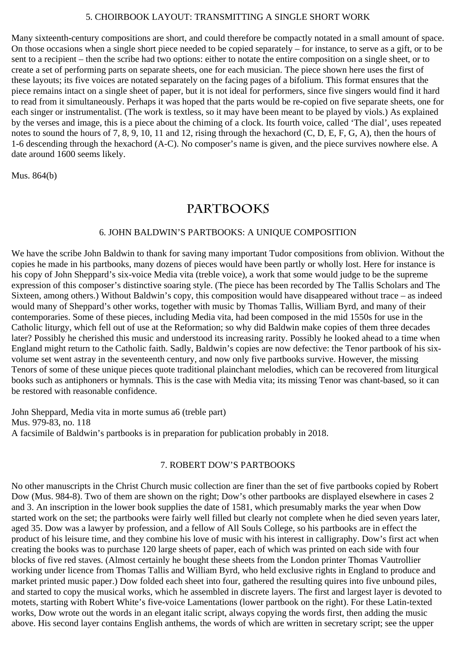#### 5. CHOIRBOOK LAYOUT: TRANSMITTING A SINGLE SHORT WORK

Many sixteenth-century compositions are short, and could therefore be compactly notated in a small amount of space. On those occasions when a single short piece needed to be copied separately – for instance, to serve as a gift, or to be sent to a recipient – then the scribe had two options: either to notate the entire composition on a single sheet, or to create a set of performing parts on separate sheets, one for each musician. The piece shown here uses the first of these layouts; its five voices are notated separately on the facing pages of a bifolium. This format ensures that the piece remains intact on a single sheet of paper, but it is not ideal for performers, since five singers would find it hard to read from it simultaneously. Perhaps it was hoped that the parts would be re-copied on five separate sheets, one for each singer or instrumentalist. (The work is textless, so it may have been meant to be played by viols.) As explained by the verses and image, this is a piece about the chiming of a clock. Its fourth voice, called 'The dial', uses repeated notes to sound the hours of 7, 8, 9, 10, 11 and 12, rising through the hexachord (C, D, E, F, G, A), then the hours of 1-6 descending through the hexachord (A-C). No composer's name is given, and the piece survives nowhere else. A date around 1600 seems likely.

Mus. 864(b)

## **partbooks**

#### 6. JOHN BALDWIN'S PARTBOOKS: A UNIQUE COMPOSITION

We have the scribe John Baldwin to thank for saving many important Tudor compositions from oblivion. Without the copies he made in his partbooks, many dozens of pieces would have been partly or wholly lost. Here for instance is his copy of John Sheppard's six-voice Media vita (treble voice), a work that some would judge to be the supreme expression of this composer's distinctive soaring style. (The piece has been recorded by The Tallis Scholars and The Sixteen, among others.) Without Baldwin's copy, this composition would have disappeared without trace – as indeed would many of Sheppard's other works, together with music by Thomas Tallis, William Byrd, and many of their contemporaries. Some of these pieces, including Media vita, had been composed in the mid 1550s for use in the Catholic liturgy, which fell out of use at the Reformation; so why did Baldwin make copies of them three decades later? Possibly he cherished this music and understood its increasing rarity. Possibly he looked ahead to a time when England might return to the Catholic faith. Sadly, Baldwin's copies are now defective: the Tenor partbook of his sixvolume set went astray in the seventeenth century, and now only five partbooks survive. However, the missing Tenors of some of these unique pieces quote traditional plainchant melodies, which can be recovered from liturgical books such as antiphoners or hymnals. This is the case with Media vita; its missing Tenor was chant-based, so it can be restored with reasonable confidence.

John Sheppard, Media vita in morte sumus a6 (treble part) Mus. 979-83, no. 118 A facsimile of Baldwin's partbooks is in preparation for publication probably in 2018.

#### 7. ROBERT DOW'S PARTBOOKS

No other manuscripts in the Christ Church music collection are finer than the set of five partbooks copied by Robert Dow (Mus. 984-8). Two of them are shown on the right; Dow's other partbooks are displayed elsewhere in cases 2 and 3. An inscription in the lower book supplies the date of 1581, which presumably marks the year when Dow started work on the set; the partbooks were fairly well filled but clearly not complete when he died seven years later, aged 35. Dow was a lawyer by profession, and a fellow of All Souls College, so his partbooks are in effect the product of his leisure time, and they combine his love of music with his interest in calligraphy. Dow's first act when creating the books was to purchase 120 large sheets of paper, each of which was printed on each side with four blocks of five red staves. (Almost certainly he bought these sheets from the London printer Thomas Vautrollier working under licence from Thomas Tallis and William Byrd, who held exclusive rights in England to produce and market printed music paper.) Dow folded each sheet into four, gathered the resulting quires into five unbound piles, and started to copy the musical works, which he assembled in discrete layers. The first and largest layer is devoted to motets, starting with Robert White's five-voice Lamentations (lower partbook on the right). For these Latin-texted works, Dow wrote out the words in an elegant italic script, always copying the words first, then adding the music above. His second layer contains English anthems, the words of which are written in secretary script; see the upper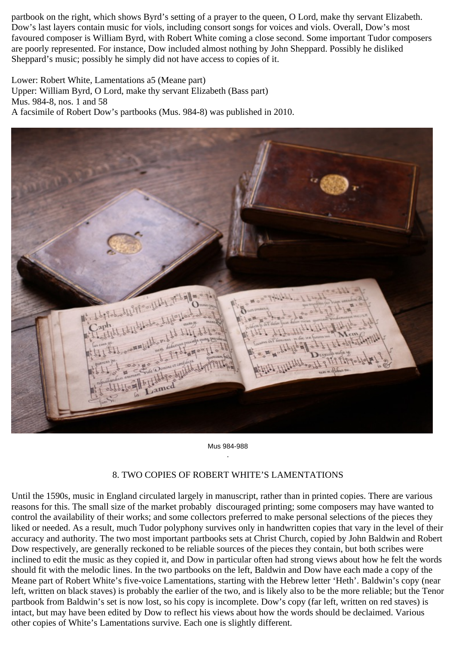partbook on the right, which shows Byrd's setting of a prayer to the queen, O Lord, make thy servant Elizabeth. Dow's last layers contain music for viols, including consort songs for voices and viols. Overall, Dow's most favoured composer is William Byrd, with Robert White coming a close second. Some important Tudor composers are poorly represented. For instance, Dow included almost nothing by John Sheppard. Possibly he disliked Sheppard's music; possibly he simply did not have access to copies of it.

Lower: Robert White, Lamentations a5 (Meane part) Upper: William Byrd, O Lord, make thy servant Elizabeth (Bass part) Mus. 984-8, nos. 1 and 58 A facsimile of Robert Dow's partbooks (Mus. 984-8) was published in 2010.



Mus 984-988 .

#### 8. TWO COPIES OF ROBERT WHITE'S LAMENTATIONS

Until the 1590s, music in England circulated largely in manuscript, rather than in printed copies. There are various reasons for this. The small size of the market probably discouraged printing; some composers may have wanted to control the availability of their works; and some collectors preferred to make personal selections of the pieces they liked or needed. As a result, much Tudor polyphony survives only in handwritten copies that vary in the level of their accuracy and authority. The two most important partbooks sets at Christ Church, copied by John Baldwin and Robert Dow respectively, are generally reckoned to be reliable sources of the pieces they contain, but both scribes were inclined to edit the music as they copied it, and Dow in particular often had strong views about how he felt the words should fit with the melodic lines. In the two partbooks on the left, Baldwin and Dow have each made a copy of the Meane part of Robert White's five-voice Lamentations, starting with the Hebrew letter 'Heth'. Baldwin's copy (near left, written on black staves) is probably the earlier of the two, and is likely also to be the more reliable; but the Tenor partbook from Baldwin's set is now lost, so his copy is incomplete. Dow's copy (far left, written on red staves) is intact, but may have been edited by Dow to reflect his views about how the words should be declaimed. Various other copies of White's Lamentations survive. Each one is slightly different.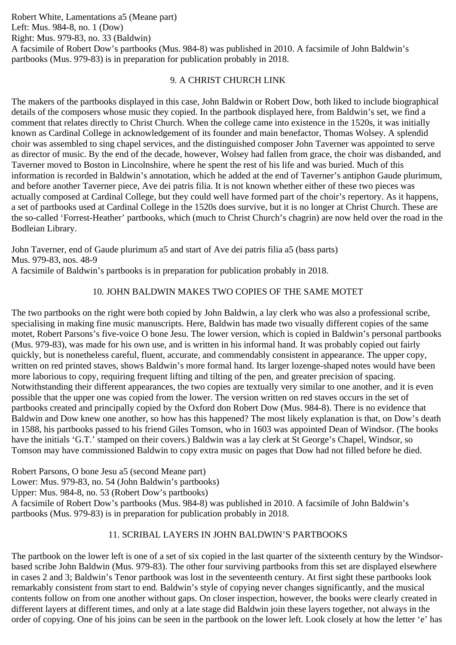Robert White, Lamentations a5 (Meane part) Left: Mus. 984-8, no. 1 (Dow) Right: Mus. 979-83, no. 33 (Baldwin) A facsimile of Robert Dow's partbooks (Mus. 984-8) was published in 2010. A facsimile of John Baldwin's partbooks (Mus. 979-83) is in preparation for publication probably in 2018.

## 9. A CHRIST CHURCH LINK

The makers of the partbooks displayed in this case, John Baldwin or Robert Dow, both liked to include biographical details of the composers whose music they copied. In the partbook displayed here, from Baldwin's set, we find a comment that relates directly to Christ Church. When the college came into existence in the 1520s, it was initially known as Cardinal College in acknowledgement of its founder and main benefactor, Thomas Wolsey. A splendid choir was assembled to sing chapel services, and the distinguished composer John Taverner was appointed to serve as director of music. By the end of the decade, however, Wolsey had fallen from grace, the choir was disbanded, and Taverner moved to Boston in Lincolnshire, where he spent the rest of his life and was buried. Much of this information is recorded in Baldwin's annotation, which he added at the end of Taverner's antiphon Gaude plurimum, and before another Taverner piece, Ave dei patris filia. It is not known whether either of these two pieces was actually composed at Cardinal College, but they could well have formed part of the choir's repertory. As it happens, a set of partbooks used at Cardinal College in the 1520s does survive, but it is no longer at Christ Church. These are the so-called 'Forrest-Heather' partbooks, which (much to Christ Church's chagrin) are now held over the road in the Bodleian Library.

John Taverner, end of Gaude plurimum a5 and start of Ave dei patris filia a5 (bass parts) Mus. 979-83, nos. 48-9 A facsimile of Baldwin's partbooks is in preparation for publication probably in 2018.

## 10. JOHN BALDWIN MAKES TWO COPIES OF THE SAME MOTET

The two partbooks on the right were both copied by John Baldwin, a lay clerk who was also a professional scribe, specialising in making fine music manuscripts. Here, Baldwin has made two visually different copies of the same motet, Robert Parsons's five-voice O bone Jesu. The lower version, which is copied in Baldwin's personal partbooks (Mus. 979-83), was made for his own use, and is written in his informal hand. It was probably copied out fairly quickly, but is nonetheless careful, fluent, accurate, and commendably consistent in appearance. The upper copy, written on red printed staves, shows Baldwin's more formal hand. Its larger lozenge-shaped notes would have been more laborious to copy, requiring frequent lifting and tilting of the pen, and greater precision of spacing. Notwithstanding their different appearances, the two copies are textually very similar to one another, and it is even possible that the upper one was copied from the lower. The version written on red staves occurs in the set of partbooks created and principally copied by the Oxford don Robert Dow (Mus. 984-8). There is no evidence that Baldwin and Dow knew one another, so how has this happened? The most likely explanation is that, on Dow's death in 1588, his partbooks passed to his friend Giles Tomson, who in 1603 was appointed Dean of Windsor. (The books have the initials 'G.T.' stamped on their covers.) Baldwin was a lay clerk at St George's Chapel, Windsor, so Tomson may have commissioned Baldwin to copy extra music on pages that Dow had not filled before he died.

Robert Parsons, O bone Jesu a5 (second Meane part)

Lower: Mus. 979-83, no. 54 (John Baldwin's partbooks)

Upper: Mus. 984-8, no. 53 (Robert Dow's partbooks)

A facsimile of Robert Dow's partbooks (Mus. 984-8) was published in 2010. A facsimile of John Baldwin's partbooks (Mus. 979-83) is in preparation for publication probably in 2018.

## 11. SCRIBAL LAYERS IN JOHN BALDWIN'S PARTBOOKS

The partbook on the lower left is one of a set of six copied in the last quarter of the sixteenth century by the Windsorbased scribe John Baldwin (Mus. 979-83). The other four surviving partbooks from this set are displayed elsewhere in cases 2 and 3; Baldwin's Tenor partbook was lost in the seventeenth century. At first sight these partbooks look remarkably consistent from start to end. Baldwin's style of copying never changes significantly, and the musical contents follow on from one another without gaps. On closer inspection, however, the books were clearly created in different layers at different times, and only at a late stage did Baldwin join these layers together, not always in the order of copying. One of his joins can be seen in the partbook on the lower left. Look closely at how the letter 'e' has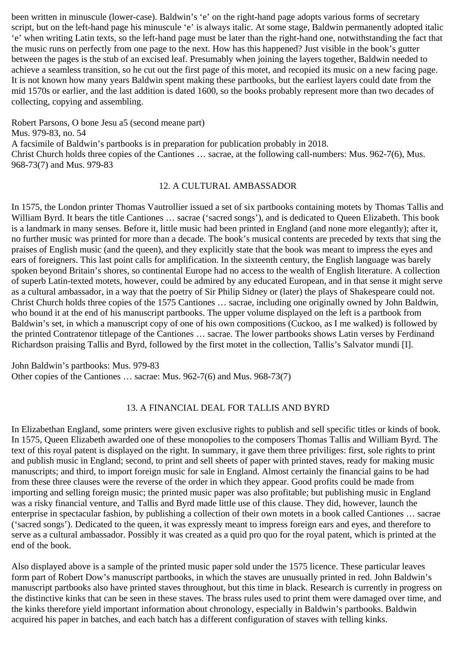been written in minuscule (lower-case). Baldwin's 'e' on the right-hand page adopts various forms of secretary script, but on the left-hand page his minuscule 'e' is always italic. At some stage, Baldwin permanently adopted italic 'e' when writing Latin texts, so the left-hand page must be later than the right-hand one, notwithstanding the fact that the music runs on perfectly from one page to the next. How has this happened? Just visible in the book's gutter between the pages is the stub of an excised leaf. Presumably when joining the layers together, Baldwin needed to achieve a seamless transition, so he cut out the first page of this motet, and recopied its music on a new facing page. It is not known how many years Baldwin spent making these partbooks, but the earliest layers could date from the mid 1570s or earlier, and the last addition is dated 1600, so the books probably represent more than two decades of collecting, copying and assembling.

Robert Parsons, O bone Jesu a5 (second meane part) Mus. 979-83, no. 54 A facsimile of Baldwin's partbooks is in preparation for publication probably in 2018. Christ Church holds three copies of the Cantiones … sacrae, at the following call-numbers: Mus. 962-7(6), Mus. 968-73(7) and Mus. 979-83

#### 12. A CULTURAL AMBASSADOR

In 1575, the London printer Thomas Vautrollier issued a set of six partbooks containing motets by Thomas Tallis and William Byrd. It bears the title Cantiones … sacrae ('sacred songs'), and is dedicated to Queen Elizabeth. This book is a landmark in many senses. Before it, little music had been printed in England (and none more elegantly); after it, no further music was printed for more than a decade. The book's musical contents are preceded by texts that sing the praises of English music (and the queen), and they explicitly state that the book was meant to impress the eyes and ears of foreigners. This last point calls for amplification. In the sixteenth century, the English language was barely spoken beyond Britain's shores, so continental Europe had no access to the wealth of English literature. A collection of superb Latin-texted motets, however, could be admired by any educated European, and in that sense it might serve as a cultural ambassador, in a way that the poetry of Sir Philip Sidney or (later) the plays of Shakespeare could not. Christ Church holds three copies of the 1575 Cantiones … sacrae, including one originally owned by John Baldwin, who bound it at the end of his manuscript partbooks. The upper volume displayed on the left is a partbook from Baldwin's set, in which a manuscript copy of one of his own compositions (Cuckoo, as I me walked) is followed by the printed Contratenor titlepage of the Cantiones … sacrae. The lower partbooks shows Latin verses by Ferdinand Richardson praising Tallis and Byrd, followed by the first motet in the collection, Tallis's Salvator mundi [I].

John Baldwin's partbooks: Mus. 979-83 Other copies of the Cantiones … sacrae: Mus. 962-7(6) and Mus. 968-73(7)

#### 13. A FINANCIAL DEAL FOR TALLIS AND BYRD

In Elizabethan England, some printers were given exclusive rights to publish and sell specific titles or kinds of book. In 1575, Queen Elizabeth awarded one of these monopolies to the composers Thomas Tallis and William Byrd. The text of this royal patent is displayed on the right. In summary, it gave them three priviliges: first, sole rights to print and publish music in England; second, to print and sell sheets of paper with printed staves, ready for making music manuscripts; and third, to import foreign music for sale in England. Almost certainly the financial gains to be had from these three clauses were the reverse of the order in which they appear. Good profits could be made from importing and selling foreign music; the printed music paper was also profitable; but publishing music in England was a risky financial venture, and Tallis and Byrd made little use of this clause. They did, however, launch the enterprise in spectacular fashion, by publishing a collection of their own motets in a book called Cantiones … sacrae ('sacred songs'). Dedicated to the queen, it was expressly meant to impress foreign ears and eyes, and therefore to serve as a cultural ambassador. Possibly it was created as a quid pro quo for the royal patent, which is printed at the end of the book.

Also displayed above is a sample of the printed music paper sold under the 1575 licence. These particular leaves form part of Robert Dow's manuscript partbooks, in which the staves are unusually printed in red. John Baldwin's manuscript partbooks also have printed staves throughout, but this time in black. Research is currently in progress on the distinctive kinks that can be seen in these staves. The brass rules used to print them were damaged over time, and the kinks therefore yield important information about chronology, especially in Baldwin's partbooks. Baldwin acquired his paper in batches, and each batch has a different configuration of staves with telling kinks.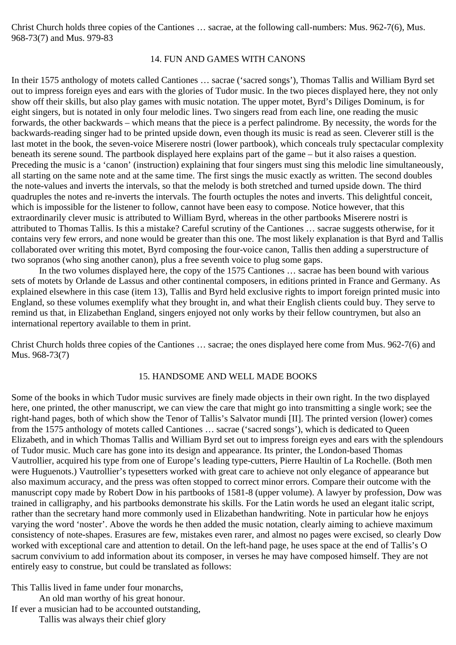Christ Church holds three copies of the Cantiones … sacrae, at the following call-numbers: Mus. 962-7(6), Mus. 968-73(7) and Mus. 979-83

#### 14. FUN AND GAMES WITH CANONS

In their 1575 anthology of motets called Cantiones … sacrae ('sacred songs'), Thomas Tallis and William Byrd set out to impress foreign eyes and ears with the glories of Tudor music. In the two pieces displayed here, they not only show off their skills, but also play games with music notation. The upper motet, Byrd's Diliges Dominum, is for eight singers, but is notated in only four melodic lines. Two singers read from each line, one reading the music forwards, the other backwards – which means that the piece is a perfect palindrome. By necessity, the words for the backwards-reading singer had to be printed upside down, even though its music is read as seen. Cleverer still is the last motet in the book, the seven-voice Miserere nostri (lower partbook), which conceals truly spectacular complexity beneath its serene sound. The partbook displayed here explains part of the game – but it also raises a question. Preceding the music is a 'canon' (instruction) explaining that four singers must sing this melodic line simultaneously, all starting on the same note and at the same time. The first sings the music exactly as written. The second doubles the note-values and inverts the intervals, so that the melody is both stretched and turned upside down. The third quadruples the notes and re-inverts the intervals. The fourth octuples the notes and inverts. This delightful conceit, which is impossible for the listener to follow, cannot have been easy to compose. Notice however, that this extraordinarily clever music is attributed to William Byrd, whereas in the other partbooks Miserere nostri is attributed to Thomas Tallis. Is this a mistake? Careful scrutiny of the Cantiones … sacrae suggests otherwise, for it contains very few errors, and none would be greater than this one. The most likely explanation is that Byrd and Tallis collaborated over writing this motet, Byrd composing the four-voice canon, Tallis then adding a superstructure of two sopranos (who sing another canon), plus a free seventh voice to plug some gaps.

 In the two volumes displayed here, the copy of the 1575 Cantiones … sacrae has been bound with various sets of motets by Orlande de Lassus and other continental composers, in editions printed in France and Germany. As explained elsewhere in this case (item 13), Tallis and Byrd held exclusive rights to import foreign printed music into England, so these volumes exemplify what they brought in, and what their English clients could buy. They serve to remind us that, in Elizabethan England, singers enjoyed not only works by their fellow countrymen, but also an international repertory available to them in print.

Christ Church holds three copies of the Cantiones … sacrae; the ones displayed here come from Mus. 962-7(6) and Mus. 968-73(7)

#### 15. HANDSOME AND WELL MADE BOOKS

Some of the books in which Tudor music survives are finely made objects in their own right. In the two displayed here, one printed, the other manuscript, we can view the care that might go into transmitting a single work; see the right-hand pages, both of which show the Tenor of Tallis's Salvator mundi [II]. The printed version (lower) comes from the 1575 anthology of motets called Cantiones … sacrae ('sacred songs'), which is dedicated to Queen Elizabeth, and in which Thomas Tallis and William Byrd set out to impress foreign eyes and ears with the splendours of Tudor music. Much care has gone into its design and appearance. Its printer, the London-based Thomas Vautrollier, acquired his type from one of Europe's leading type-cutters, Pierre Haultin of La Rochelle. (Both men were Huguenots.) Vautrollier's typesetters worked with great care to achieve not only elegance of appearance but also maximum accuracy, and the press was often stopped to correct minor errors. Compare their outcome with the manuscript copy made by Robert Dow in his partbooks of 1581-8 (upper volume). A lawyer by profession, Dow was trained in calligraphy, and his partbooks demonstrate his skills. For the Latin words he used an elegant italic script, rather than the secretary hand more commonly used in Elizabethan handwriting. Note in particular how he enjoys varying the word 'noster'. Above the words he then added the music notation, clearly aiming to achieve maximum consistency of note-shapes. Erasures are few, mistakes even rarer, and almost no pages were excised, so clearly Dow worked with exceptional care and attention to detail. On the left-hand page, he uses space at the end of Tallis's O sacrum convivium to add information about its composer, in verses he may have composed himself. They are not entirely easy to construe, but could be translated as follows:

This Tallis lived in fame under four monarchs,

An old man worthy of his great honour.

If ever a musician had to be accounted outstanding,

Tallis was always their chief glory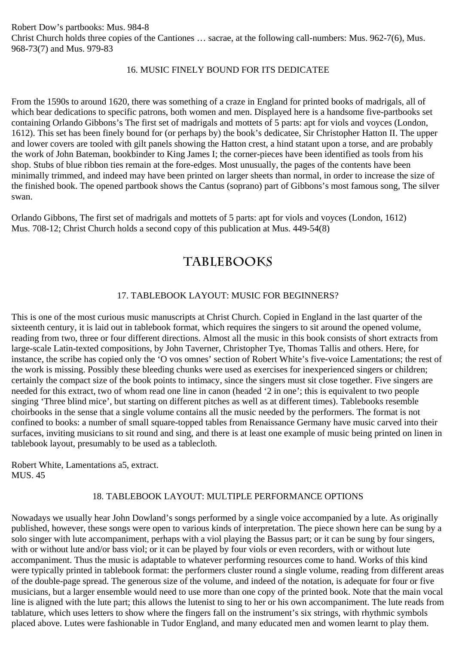Robert Dow's partbooks: Mus. 984-8 Christ Church holds three copies of the Cantiones … sacrae, at the following call-numbers: Mus. 962-7(6), Mus. 968-73(7) and Mus. 979-83

### 16. MUSIC FINELY BOUND FOR ITS DEDICATEE

From the 1590s to around 1620, there was something of a craze in England for printed books of madrigals, all of which bear dedications to specific patrons, both women and men. Displayed here is a handsome five-partbooks set containing Orlando Gibbons's The first set of madrigals and mottets of 5 parts: apt for viols and voyces (London, 1612). This set has been finely bound for (or perhaps by) the book's dedicatee, Sir Christopher Hatton II. The upper and lower covers are tooled with gilt panels showing the Hatton crest, a hind statant upon a torse, and are probably the work of John Bateman, bookbinder to King James I; the corner-pieces have been identified as tools from his shop. Stubs of blue ribbon ties remain at the fore-edges. Most unusually, the pages of the contents have been minimally trimmed, and indeed may have been printed on larger sheets than normal, in order to increase the size of the finished book. The opened partbook shows the Cantus (soprano) part of Gibbons's most famous song, The silver swan.

Orlando Gibbons, The first set of madrigals and mottets of 5 parts: apt for viols and voyces (London, 1612) Mus. 708-12; Christ Church holds a second copy of this publication at Mus. 449-54(8)

## **tablebooks**

### 17. TABLEBOOK LAYOUT: MUSIC FOR BEGINNERS?

This is one of the most curious music manuscripts at Christ Church. Copied in England in the last quarter of the sixteenth century, it is laid out in tablebook format, which requires the singers to sit around the opened volume, reading from two, three or four different directions. Almost all the music in this book consists of short extracts from large-scale Latin-texted compositions, by John Taverner, Christopher Tye, Thomas Tallis and others. Here, for instance, the scribe has copied only the 'O vos omnes' section of Robert White's five-voice Lamentations; the rest of the work is missing. Possibly these bleeding chunks were used as exercises for inexperienced singers or children; certainly the compact size of the book points to intimacy, since the singers must sit close together. Five singers are needed for this extract, two of whom read one line in canon (headed '2 in one'; this is equivalent to two people singing 'Three blind mice', but starting on different pitches as well as at different times). Tablebooks resemble choirbooks in the sense that a single volume contains all the music needed by the performers. The format is not confined to books: a number of small square-topped tables from Renaissance Germany have music carved into their surfaces, inviting musicians to sit round and sing, and there is at least one example of music being printed on linen in tablebook layout, presumably to be used as a tablecloth.

Robert White, Lamentations a5, extract. MUS. 45

#### 18. TABLEBOOK LAYOUT: MULTIPLE PERFORMANCE OPTIONS

Nowadays we usually hear John Dowland's songs performed by a single voice accompanied by a lute. As originally published, however, these songs were open to various kinds of interpretation. The piece shown here can be sung by a solo singer with lute accompaniment, perhaps with a viol playing the Bassus part; or it can be sung by four singers, with or without lute and/or bass viol; or it can be played by four viols or even recorders, with or without lute accompaniment. Thus the music is adaptable to whatever performing resources come to hand. Works of this kind were typically printed in tablebook format: the performers cluster round a single volume, reading from different areas of the double-page spread. The generous size of the volume, and indeed of the notation, is adequate for four or five musicians, but a larger ensemble would need to use more than one copy of the printed book. Note that the main vocal line is aligned with the lute part; this allows the lutenist to sing to her or his own accompaniment. The lute reads from tablature, which uses letters to show where the fingers fall on the instrument's six strings, with rhythmic symbols placed above. Lutes were fashionable in Tudor England, and many educated men and women learnt to play them.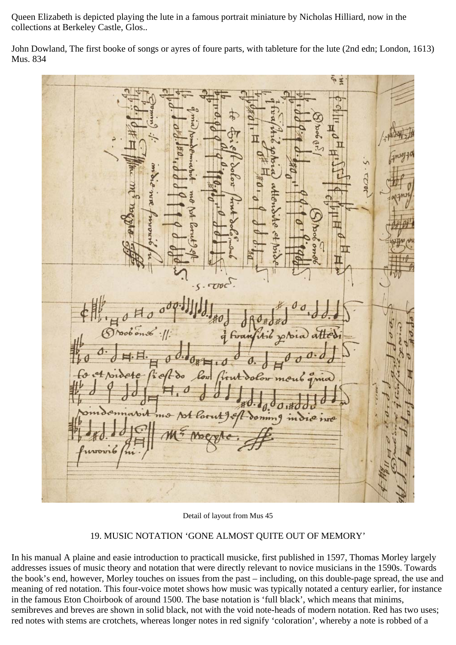Queen Elizabeth is depicted playing the lute in a famous portrait miniature by Nicholas Hilliard, now in the collections at Berkeley Castle, Glos..

John Dowland, The first booke of songs or ayres of foure parts, with tableture for the lute (2nd edn; London, 1613) Mus. 834

 $22$ 

Detail of layout from Mus 45

## 19. MUSIC NOTATION 'GONE ALMOST QUITE OUT OF MEMORY'

In his manual A plaine and easie introduction to practicall musicke, first published in 1597, Thomas Morley largely addresses issues of music theory and notation that were directly relevant to novice musicians in the 1590s. Towards the book's end, however, Morley touches on issues from the past – including, on this double-page spread, the use and meaning of red notation. This four-voice motet shows how music was typically notated a century earlier, for instance in the famous Eton Choirbook of around 1500. The base notation is 'full black', which means that minims, semibreves and breves are shown in solid black, not with the void note-heads of modern notation. Red has two uses; red notes with stems are crotchets, whereas longer notes in red signify 'coloration', whereby a note is robbed of a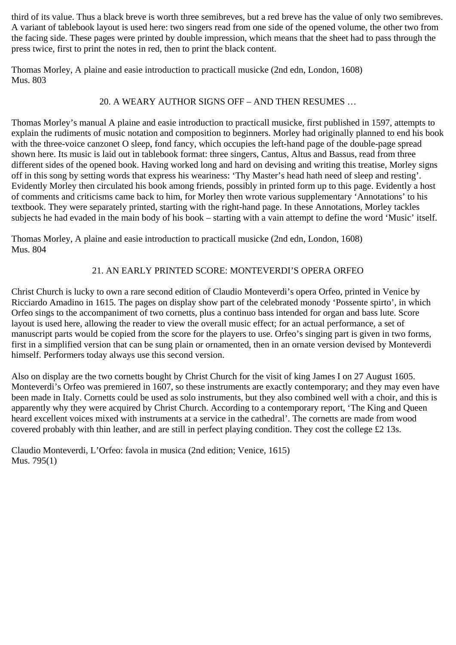third of its value. Thus a black breve is worth three semibreves, but a red breve has the value of only two semibreves. A variant of tablebook layout is used here: two singers read from one side of the opened volume, the other two from the facing side. These pages were printed by double impression, which means that the sheet had to pass through the press twice, first to print the notes in red, then to print the black content.

Thomas Morley, A plaine and easie introduction to practicall musicke (2nd edn, London, 1608) Mus. 803

## 20. A WEARY AUTHOR SIGNS OFF – AND THEN RESUMES …

Thomas Morley's manual A plaine and easie introduction to practicall musicke, first published in 1597, attempts to explain the rudiments of music notation and composition to beginners. Morley had originally planned to end his book with the three-voice canzonet O sleep, fond fancy, which occupies the left-hand page of the double-page spread shown here. Its music is laid out in tablebook format: three singers, Cantus, Altus and Bassus, read from three different sides of the opened book. Having worked long and hard on devising and writing this treatise, Morley signs off in this song by setting words that express his weariness: 'Thy Master's head hath need of sleep and resting'. Evidently Morley then circulated his book among friends, possibly in printed form up to this page. Evidently a host of comments and criticisms came back to him, for Morley then wrote various supplementary 'Annotations' to his textbook. They were separately printed, starting with the right-hand page. In these Annotations, Morley tackles subjects he had evaded in the main body of his book – starting with a vain attempt to define the word 'Music' itself.

Thomas Morley, A plaine and easie introduction to practicall musicke (2nd edn, London, 1608) Mus. 804

## 21. AN EARLY PRINTED SCORE: MONTEVERDI'S OPERA ORFEO

Christ Church is lucky to own a rare second edition of Claudio Monteverdi's opera Orfeo, printed in Venice by Ricciardo Amadino in 1615. The pages on display show part of the celebrated monody 'Possente spirto', in which Orfeo sings to the accompaniment of two cornetts, plus a continuo bass intended for organ and bass lute. Score layout is used here, allowing the reader to view the overall music effect; for an actual performance, a set of manuscript parts would be copied from the score for the players to use. Orfeo's singing part is given in two forms, first in a simplified version that can be sung plain or ornamented, then in an ornate version devised by Monteverdi himself. Performers today always use this second version.

Also on display are the two cornetts bought by Christ Church for the visit of king James I on 27 August 1605. Monteverdi's Orfeo was premiered in 1607, so these instruments are exactly contemporary; and they may even have been made in Italy. Cornetts could be used as solo instruments, but they also combined well with a choir, and this is apparently why they were acquired by Christ Church. According to a contemporary report, 'The King and Queen heard excellent voices mixed with instruments at a service in the cathedral'. The cornetts are made from wood covered probably with thin leather, and are still in perfect playing condition. They cost the college £2 13s.

Claudio Monteverdi, L'Orfeo: favola in musica (2nd edition; Venice, 1615) Mus. 795(1)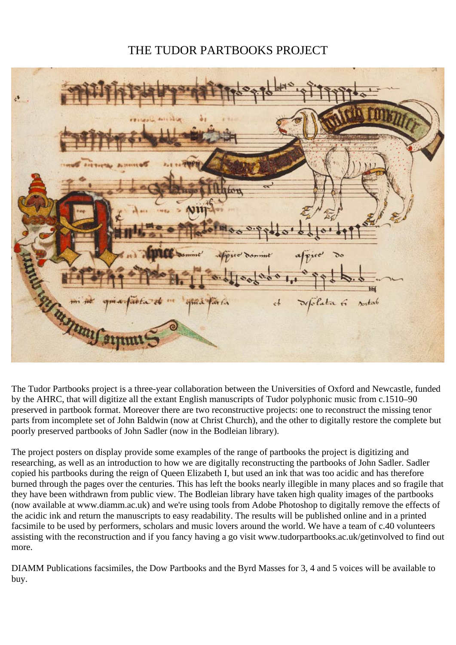# THE TUDOR PARTBOOKS PROJECT

| فاج                                                                                       |
|-------------------------------------------------------------------------------------------|
|                                                                                           |
|                                                                                           |
| $\overline{\mathbf{c}}$                                                                   |
|                                                                                           |
| inne<br>ofpic<br>dominat<br>$\alpha$<br>Free<br>$\mathfrak{d}$<br>$\overline{\mathbb{R}}$ |
| quia faita de me quia faita<br>et défolitation soutable<br>7777                           |
| mshmnil av                                                                                |

The Tudor Partbooks project is a three-year collaboration between the Universities of Oxford and Newcastle, funded by the AHRC, that will digitize all the extant English manuscripts of Tudor polyphonic music from c.1510–90 preserved in partbook format. Moreover there are two reconstructive projects: one to reconstruct the missing tenor parts from incomplete set of John Baldwin (now at Christ Church), and the other to digitally restore the complete but poorly preserved partbooks of John Sadler (now in the Bodleian library).

The project posters on display provide some examples of the range of partbooks the project is digitizing and researching, as well as an introduction to how we are digitally reconstructing the partbooks of John Sadler. Sadler copied his partbooks during the reign of Queen Elizabeth I, but used an ink that was too acidic and has therefore burned through the pages over the centuries. This has left the books nearly illegible in many places and so fragile that they have been withdrawn from public view. The Bodleian library have taken high quality images of the partbooks (now available at www.diamm.ac.uk) and we're using tools from Adobe Photoshop to digitally remove the effects of the acidic ink and return the manuscripts to easy readability. The results will be published online and in a printed facsimile to be used by performers, scholars and music lovers around the world. We have a team of c.40 volunteers assisting with the reconstruction and if you fancy having a go visit www.tudorpartbooks.ac.uk/getinvolved to find out more.

DIAMM Publications facsimiles, the Dow Partbooks and the Byrd Masses for 3, 4 and 5 voices will be available to buy.